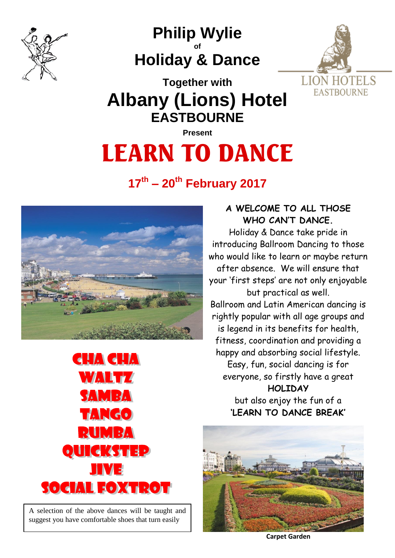

**Philip Wylie of Holiday & Dance**



**Together with Albany (Lions) Hotel EASTBOURNE**

**Present** 

# LEARN TO DANCE

# **17th – 20th February 2017**





A selection of the above dances will be taught and suggest you have comfortable shoes that turn easily

## **A WELCOME TO ALL THOSE WHO CAN'T DANCE.**

Holiday & Dance take pride in introducing Ballroom Dancing to those who would like to learn or maybe return after absence. We will ensure that your 'first steps' are not only enjoyable but practical as well. Ballroom and Latin American dancing is rightly popular with all age groups and is legend in its benefits for health, fitness, coordination and providing a happy and absorbing social lifestyle.

Easy, fun, social dancing is for everyone, so firstly have a great **HOLIDAY** but also enjoy the fun of a **'LEARN TO DANCE BREAK'**



**Carpet Garden**